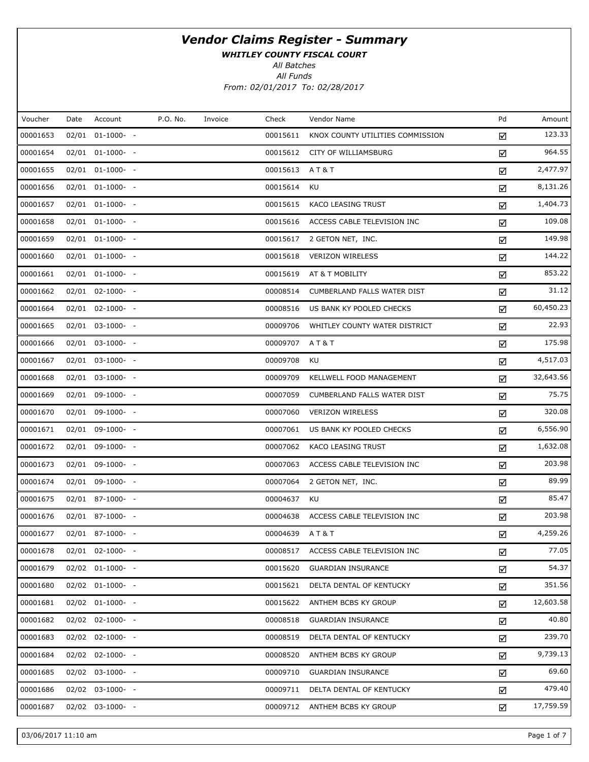WHITLEY COUNTY FISCAL COURT

All Batches

All Funds From: 02/01/2017 To: 02/28/2017

| Voucher  | Date | Account               | P.O. No. | Invoice | Check    | Vendor Name                        | Pd | Amount    |
|----------|------|-----------------------|----------|---------|----------|------------------------------------|----|-----------|
| 00001653 |      | $02/01$ $01-1000-$ -  |          |         | 00015611 | KNOX COUNTY UTILITIES COMMISSION   | ☑  | 123.33    |
| 00001654 |      | $02/01$ $01-1000-$ -  |          |         | 00015612 | CITY OF WILLIAMSBURG               | ☑  | 964.55    |
| 00001655 |      | $02/01$ $01-1000-$ -  |          |         | 00015613 | AT&T                               | ☑  | 2,477.97  |
| 00001656 |      | 02/01 01-1000- -      |          |         | 00015614 | KU                                 | ☑  | 8,131.26  |
| 00001657 |      | $02/01$ $01-1000-$ -  |          |         | 00015615 | KACO LEASING TRUST                 | ☑  | 1,404.73  |
| 00001658 |      | 02/01 01-1000- -      |          |         | 00015616 | ACCESS CABLE TELEVISION INC        | ☑  | 109.08    |
| 00001659 |      | $02/01$ $01-1000-$ -  |          |         | 00015617 | 2 GETON NET, INC.                  | ☑  | 149.98    |
| 00001660 |      | 02/01 01-1000- -      |          |         | 00015618 | <b>VERIZON WIRELESS</b>            | ☑  | 144.22    |
| 00001661 |      | $02/01$ $01-1000-$ -  |          |         | 00015619 | AT & T MOBILITY                    | ☑  | 853.22    |
| 00001662 |      | 02/01 02-1000- -      |          |         | 00008514 | CUMBERLAND FALLS WATER DIST        | ☑  | 31.12     |
| 00001664 |      | $02/01$ $02-1000-$ -  |          |         | 00008516 | US BANK KY POOLED CHECKS           | ☑  | 60,450.23 |
| 00001665 |      | 02/01 03-1000- -      |          |         | 00009706 | WHITLEY COUNTY WATER DISTRICT      | ☑  | 22.93     |
| 00001666 |      | 02/01 03-1000- -      |          |         | 00009707 | A T & T                            | ☑  | 175.98    |
| 00001667 |      | 02/01 03-1000- -      |          |         | 00009708 | KU                                 | ☑  | 4,517.03  |
| 00001668 |      | 02/01 03-1000- -      |          |         | 00009709 | KELLWELL FOOD MANAGEMENT           | ☑  | 32,643.56 |
| 00001669 |      | 02/01 09-1000- -      |          |         | 00007059 | <b>CUMBERLAND FALLS WATER DIST</b> | ☑  | 75.75     |
| 00001670 |      | 02/01 09-1000- -      |          |         | 00007060 | <b>VERIZON WIRELESS</b>            | ☑  | 320.08    |
| 00001671 |      | 02/01 09-1000- -      |          |         | 00007061 | US BANK KY POOLED CHECKS           | ☑  | 6,556.90  |
| 00001672 |      | 02/01 09-1000- -      |          |         | 00007062 | KACO LEASING TRUST                 | ☑  | 1,632.08  |
| 00001673 |      | 02/01 09-1000- -      |          |         | 00007063 | ACCESS CABLE TELEVISION INC        | ☑  | 203.98    |
| 00001674 |      | 02/01 09-1000- -      |          |         | 00007064 | 2 GETON NET, INC.                  | ☑  | 89.99     |
| 00001675 |      | 02/01 87-1000- -      |          |         | 00004637 | KU                                 | ☑  | 85.47     |
| 00001676 |      | 02/01 87-1000- -      |          |         | 00004638 | ACCESS CABLE TELEVISION INC        | ☑  | 203.98    |
| 00001677 |      | 02/01 87-1000- -      |          |         | 00004639 | <b>AT&amp;T</b>                    | ☑  | 4,259.26  |
| 00001678 |      | $02/01$ $02-1000$ - - |          |         | 00008517 | ACCESS CABLE TELEVISION INC        | ☑  | 77.05     |
| 00001679 |      | $02/02$ $01-1000$ - - |          |         | 00015620 | <b>GUARDIAN INSURANCE</b>          | ☑  | 54.37     |
| 00001680 |      | $02/02$ $01-1000$ - - |          |         | 00015621 | DELTA DENTAL OF KENTUCKY           | ☑  | 351.56    |
| 00001681 |      | 02/02 01-1000- -      |          |         | 00015622 | ANTHEM BCBS KY GROUP               | ☑  | 12,603.58 |
| 00001682 |      | $02/02$ $02-1000$ - - |          |         | 00008518 | <b>GUARDIAN INSURANCE</b>          | ☑  | 40.80     |
| 00001683 |      | 02/02 02-1000- -      |          |         | 00008519 | DELTA DENTAL OF KENTUCKY           | ☑  | 239.70    |
| 00001684 |      | $02/02$ $02-1000$ - - |          |         | 00008520 | ANTHEM BCBS KY GROUP               | ☑  | 9,739.13  |
| 00001685 |      | 02/02 03-1000- -      |          |         | 00009710 | <b>GUARDIAN INSURANCE</b>          | ☑  | 69.60     |
| 00001686 |      | 02/02 03-1000- -      |          |         | 00009711 | DELTA DENTAL OF KENTUCKY           | ☑  | 479.40    |
| 00001687 |      | 02/02 03-1000- -      |          |         | 00009712 | ANTHEM BCBS KY GROUP               | ☑  | 17,759.59 |
|          |      |                       |          |         |          |                                    |    |           |

03/06/2017 11:10 am Page 1 of 7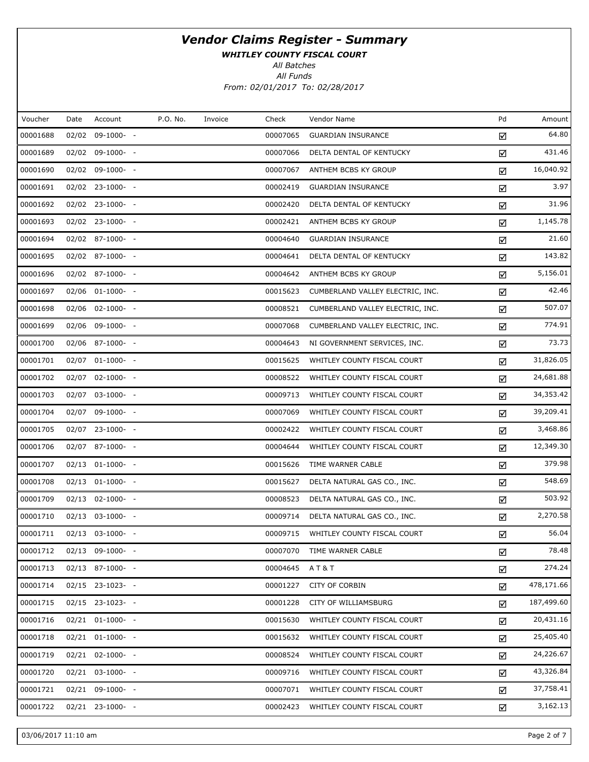WHITLEY COUNTY FISCAL COURT

All Batches

All Funds From: 02/01/2017 To: 02/28/2017

| Voucher  | Date | Account               | P.O. No. | Invoice | Check    | Vendor Name                      | Pd | Amount     |
|----------|------|-----------------------|----------|---------|----------|----------------------------------|----|------------|
| 00001688 |      | 02/02 09-1000- -      |          |         | 00007065 | <b>GUARDIAN INSURANCE</b>        | ☑  | 64.80      |
| 00001689 |      | 02/02 09-1000- -      |          |         | 00007066 | DELTA DENTAL OF KENTUCKY         | ☑  | 431.46     |
| 00001690 |      | 02/02 09-1000- -      |          |         | 00007067 | ANTHEM BCBS KY GROUP             | ☑  | 16,040.92  |
| 00001691 |      | 02/02 23-1000- -      |          |         | 00002419 | <b>GUARDIAN INSURANCE</b>        | ☑  | 3.97       |
| 00001692 |      | 02/02 23-1000- -      |          |         | 00002420 | DELTA DENTAL OF KENTUCKY         | ☑  | 31.96      |
| 00001693 |      | 02/02 23-1000- -      |          |         | 00002421 | ANTHEM BCBS KY GROUP             | ☑  | 1,145.78   |
| 00001694 |      | $02/02$ 87-1000- -    |          |         | 00004640 | <b>GUARDIAN INSURANCE</b>        | ☑  | 21.60      |
| 00001695 |      | 02/02 87-1000- -      |          |         | 00004641 | DELTA DENTAL OF KENTUCKY         | ☑  | 143.82     |
| 00001696 |      | 02/02 87-1000- -      |          |         | 00004642 | ANTHEM BCBS KY GROUP             | ☑  | 5,156.01   |
| 00001697 |      | 02/06 01-1000- -      |          |         | 00015623 | CUMBERLAND VALLEY ELECTRIC, INC. | ☑  | 42.46      |
| 00001698 |      | 02/06 02-1000- -      |          |         | 00008521 | CUMBERLAND VALLEY ELECTRIC, INC. | ☑  | 507.07     |
| 00001699 |      | 02/06 09-1000- -      |          |         | 00007068 | CUMBERLAND VALLEY ELECTRIC, INC. | ☑  | 774.91     |
| 00001700 |      | 02/06 87-1000- -      |          |         | 00004643 | NI GOVERNMENT SERVICES, INC.     | ☑  | 73.73      |
| 00001701 |      | 02/07 01-1000- -      |          |         | 00015625 | WHITLEY COUNTY FISCAL COURT      | ☑  | 31,826.05  |
| 00001702 |      | 02/07 02-1000- -      |          |         | 00008522 | WHITLEY COUNTY FISCAL COURT      | ☑  | 24,681.88  |
| 00001703 |      | 02/07 03-1000- -      |          |         | 00009713 | WHITLEY COUNTY FISCAL COURT      | ☑  | 34,353.42  |
| 00001704 |      | 02/07 09-1000- -      |          |         | 00007069 | WHITLEY COUNTY FISCAL COURT      | ☑  | 39,209.41  |
| 00001705 |      | 02/07 23-1000- -      |          |         | 00002422 | WHITLEY COUNTY FISCAL COURT      | ☑  | 3,468.86   |
| 00001706 |      | 02/07 87-1000- -      |          |         | 00004644 | WHITLEY COUNTY FISCAL COURT      | ☑  | 12,349.30  |
| 00001707 |      | 02/13 01-1000- -      |          |         | 00015626 | TIME WARNER CABLE                | ☑  | 379.98     |
| 00001708 |      | $02/13$ $01-1000-$ -  |          |         | 00015627 | DELTA NATURAL GAS CO., INC.      | ☑  | 548.69     |
| 00001709 |      | 02/13 02-1000- -      |          |         | 00008523 | DELTA NATURAL GAS CO., INC.      | ☑  | 503.92     |
| 00001710 |      | 02/13 03-1000- -      |          |         | 00009714 | DELTA NATURAL GAS CO., INC.      | ☑  | 2,270.58   |
| 00001711 |      | 02/13 03-1000- -      |          |         | 00009715 | WHITLEY COUNTY FISCAL COURT      | ☑  | 56.04      |
| 00001712 |      | 02/13 09-1000- -      |          |         | 00007070 | TIME WARNER CABLE                | ☑  | 78.48      |
| 00001713 |      | $02/13$ 87-1000- -    |          |         | 00004645 | <b>AT&amp;T</b>                  | ☑  | 274.24     |
| 00001714 |      | 02/15 23-1023- -      |          |         | 00001227 | <b>CITY OF CORBIN</b>            | ☑  | 478,171.66 |
| 00001715 |      | 02/15 23-1023- -      |          |         | 00001228 | CITY OF WILLIAMSBURG             | ☑  | 187,499.60 |
| 00001716 |      | $02/21$ $01-1000-$ -  |          |         | 00015630 | WHITLEY COUNTY FISCAL COURT      | ☑  | 20,431.16  |
| 00001718 |      | $02/21$ $01-1000-$ -  |          |         | 00015632 | WHITLEY COUNTY FISCAL COURT      | ☑  | 25,405.40  |
| 00001719 |      | $02/21$ $02-1000$ - - |          |         | 00008524 | WHITLEY COUNTY FISCAL COURT      | ☑  | 24,226.67  |
| 00001720 |      | $02/21$ $03-1000$ - - |          |         | 00009716 | WHITLEY COUNTY FISCAL COURT      | ☑  | 43,326.84  |
| 00001721 |      | 02/21 09-1000- -      |          |         | 00007071 | WHITLEY COUNTY FISCAL COURT      | ☑  | 37,758.41  |
| 00001722 |      | 02/21 23-1000- -      |          |         | 00002423 | WHITLEY COUNTY FISCAL COURT      | ☑  | 3,162.13   |

03/06/2017 11:10 am Page 2 of 7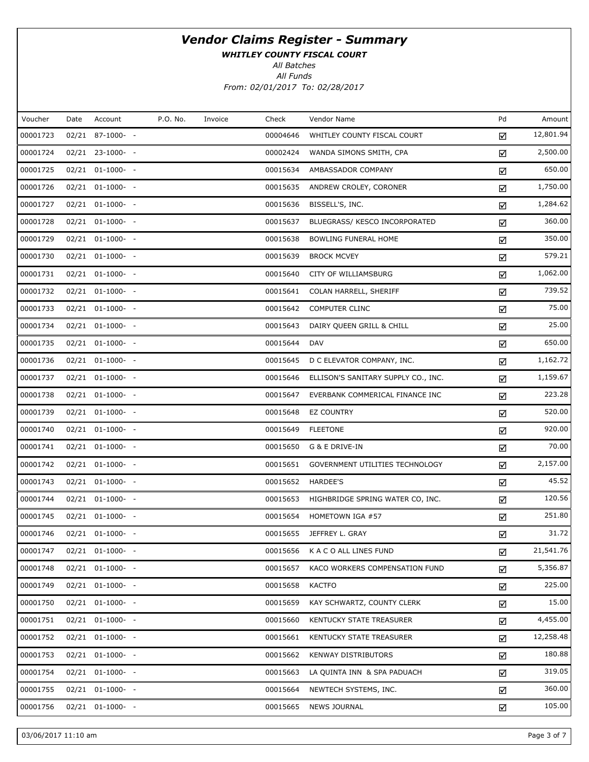WHITLEY COUNTY FISCAL COURT

All Batches

All Funds From: 02/01/2017 To: 02/28/2017

| Voucher  | Date | Account               | P.O. No. | Invoice | Check    | Vendor Name                         | Pd | Amount    |
|----------|------|-----------------------|----------|---------|----------|-------------------------------------|----|-----------|
| 00001723 |      | 02/21 87-1000- -      |          |         | 00004646 | WHITLEY COUNTY FISCAL COURT         | ☑  | 12,801.94 |
| 00001724 |      | 02/21 23-1000- -      |          |         | 00002424 | WANDA SIMONS SMITH, CPA             | ☑  | 2,500.00  |
| 00001725 |      | 02/21 01-1000- -      |          |         | 00015634 | AMBASSADOR COMPANY                  | ☑  | 650.00    |
| 00001726 |      | $02/21$ $01-1000-$ -  |          |         | 00015635 | ANDREW CROLEY, CORONER              | ☑  | 1,750.00  |
| 00001727 |      | 02/21 01-1000- -      |          |         | 00015636 | BISSELL'S, INC.                     | ☑  | 1,284.62  |
| 00001728 |      | 02/21 01-1000- -      |          |         | 00015637 | BLUEGRASS/ KESCO INCORPORATED       | ☑  | 360.00    |
| 00001729 |      | $02/21$ $01-1000-$ -  |          |         | 00015638 | <b>BOWLING FUNERAL HOME</b>         | ☑  | 350.00    |
| 00001730 |      | $02/21$ $01-1000-$ -  |          |         | 00015639 | <b>BROCK MCVEY</b>                  | ☑  | 579.21    |
| 00001731 |      | 02/21 01-1000- -      |          |         | 00015640 | CITY OF WILLIAMSBURG                | ☑  | 1,062.00  |
| 00001732 |      | 02/21 01-1000- -      |          |         | 00015641 | COLAN HARRELL, SHERIFF              | ☑  | 739.52    |
| 00001733 |      | $02/21$ $01-1000-$ -  |          |         | 00015642 | <b>COMPUTER CLINC</b>               | ☑  | 75.00     |
| 00001734 |      | $02/21$ $01-1000-$ -  |          |         | 00015643 | DAIRY QUEEN GRILL & CHILL           | ☑  | 25.00     |
| 00001735 |      | 02/21 01-1000- -      |          |         | 00015644 | DAV                                 | ☑  | 650.00    |
| 00001736 |      | $02/21$ $01-1000$ - - |          |         | 00015645 | D C ELEVATOR COMPANY, INC.          | ☑  | 1,162.72  |
| 00001737 |      | $02/21$ $01-1000-$ -  |          |         | 00015646 | ELLISON'S SANITARY SUPPLY CO., INC. | ☑  | 1,159.67  |
| 00001738 |      | 02/21 01-1000- -      |          |         | 00015647 | EVERBANK COMMERICAL FINANCE INC     | ☑  | 223.28    |
| 00001739 |      | 02/21 01-1000- -      |          |         | 00015648 | <b>EZ COUNTRY</b>                   | ☑  | 520.00    |
| 00001740 |      | $02/21$ $01-1000$ - - |          |         | 00015649 | <b>FLEETONE</b>                     | ☑  | 920.00    |
| 00001741 |      | 02/21 01-1000- -      |          |         | 00015650 | G & E DRIVE-IN                      | ☑  | 70.00     |
| 00001742 |      | 02/21 01-1000- -      |          |         | 00015651 | GOVERNMENT UTILITIES TECHNOLOGY     | ☑  | 2,157.00  |
| 00001743 |      | $02/21$ $01-1000-$ -  |          |         | 00015652 | HARDEE'S                            | ☑  | 45.52     |
| 00001744 |      | $02/21$ $01-1000$ - - |          |         | 00015653 | HIGHBRIDGE SPRING WATER CO, INC.    | ☑  | 120.56    |
| 00001745 |      | $02/21$ $01-1000-$ -  |          |         | 00015654 | HOMETOWN IGA #57                    | ☑  | 251.80    |
| 00001746 |      | 02/21 01-1000- -      |          |         | 00015655 | JEFFREY L. GRAY                     | ☑  | 31.72     |
| 00001747 |      | $02/21$ $01-1000-$ -  |          |         | 00015656 | K A C O ALL LINES FUND              | ☑  | 21,541.76 |
| 00001748 |      | 02/21 01-1000- -      |          |         | 00015657 | KACO WORKERS COMPENSATION FUND      | ☑  | 5,356.87  |
| 00001749 |      | $02/21$ $01-1000-$ -  |          |         | 00015658 | <b>KACTFO</b>                       | ☑  | 225.00    |
| 00001750 |      | 02/21 01-1000- -      |          |         | 00015659 | KAY SCHWARTZ, COUNTY CLERK          | ☑  | 15.00     |
| 00001751 |      | $02/21$ $01-1000$ - - |          |         | 00015660 | KENTUCKY STATE TREASURER            | ☑  | 4,455.00  |
| 00001752 |      | 02/21 01-1000- -      |          |         | 00015661 | KENTUCKY STATE TREASURER            | ☑  | 12,258.48 |
| 00001753 |      | 02/21 01-1000- -      |          |         | 00015662 | <b>KENWAY DISTRIBUTORS</b>          | ☑  | 180.88    |
| 00001754 |      | 02/21 01-1000- -      |          |         | 00015663 | LA QUINTA INN & SPA PADUACH         | ☑  | 319.05    |
| 00001755 |      | 02/21 01-1000- -      |          |         | 00015664 | NEWTECH SYSTEMS, INC.               | ☑  | 360.00    |
| 00001756 |      | 02/21 01-1000- -      |          |         | 00015665 | <b>NEWS JOURNAL</b>                 | ☑  | 105.00    |
|          |      |                       |          |         |          |                                     |    |           |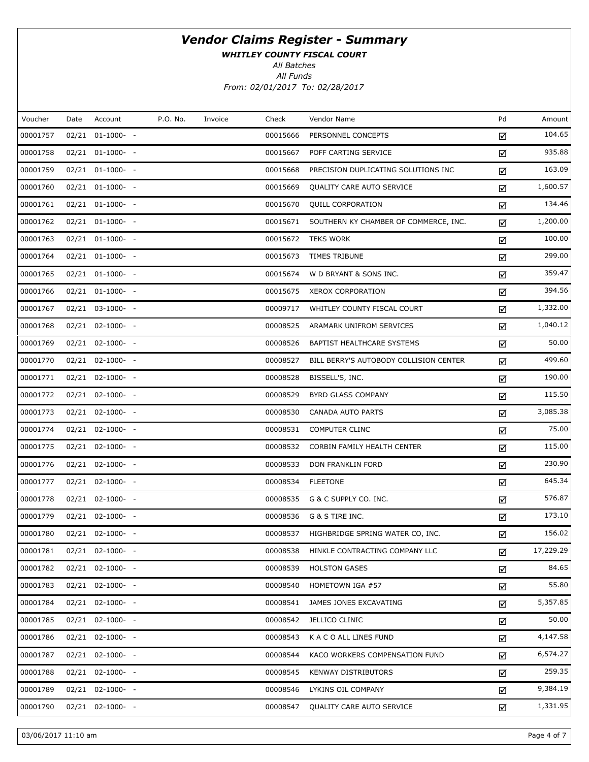WHITLEY COUNTY FISCAL COURT

All Batches

All Funds From: 02/01/2017 To: 02/28/2017

| Voucher  | Date | Account               | P.O. No. | Invoice | Check    | Vendor Name                            | Pd | Amount    |
|----------|------|-----------------------|----------|---------|----------|----------------------------------------|----|-----------|
| 00001757 |      | $02/21$ $01-1000-$ -  |          |         | 00015666 | PERSONNEL CONCEPTS                     | ☑  | 104.65    |
| 00001758 |      | 02/21 01-1000- -      |          |         | 00015667 | POFF CARTING SERVICE                   | ☑  | 935.88    |
| 00001759 |      | $02/21$ $01-1000-$ -  |          |         | 00015668 | PRECISION DUPLICATING SOLUTIONS INC    | ☑  | 163.09    |
| 00001760 |      | 02/21 01-1000- -      |          |         | 00015669 | QUALITY CARE AUTO SERVICE              | ☑  | 1,600.57  |
| 00001761 |      | 02/21 01-1000- -      |          |         | 00015670 | QUILL CORPORATION                      | ☑  | 134.46    |
| 00001762 |      | 02/21 01-1000- -      |          |         | 00015671 | SOUTHERN KY CHAMBER OF COMMERCE, INC.  | ☑  | 1,200.00  |
| 00001763 |      | $02/21$ $01-1000-$ -  |          |         | 00015672 | <b>TEKS WORK</b>                       | ☑  | 100.00    |
| 00001764 |      | 02/21 01-1000- -      |          |         | 00015673 | TIMES TRIBUNE                          | ☑  | 299.00    |
| 00001765 |      | $02/21$ $01-1000-$ -  |          |         | 00015674 | W D BRYANT & SONS INC.                 | ☑  | 359.47    |
| 00001766 |      | 02/21 01-1000- -      |          |         | 00015675 | XEROX CORPORATION                      | ☑  | 394.56    |
| 00001767 |      | 02/21 03-1000- -      |          |         | 00009717 | WHITLEY COUNTY FISCAL COURT            | ☑  | 1,332.00  |
| 00001768 |      | 02/21 02-1000- -      |          |         | 00008525 | ARAMARK UNIFROM SERVICES               | ☑  | 1,040.12  |
| 00001769 |      | $02/21$ $02-1000-$ -  |          |         | 00008526 | BAPTIST HEALTHCARE SYSTEMS             | ☑  | 50.00     |
| 00001770 |      | 02/21 02-1000- -      |          |         | 00008527 | BILL BERRY'S AUTOBODY COLLISION CENTER | ☑  | 499.60    |
| 00001771 |      | $02/21$ $02-1000-$ -  |          |         | 00008528 | BISSELL'S, INC.                        | ☑  | 190.00    |
| 00001772 |      | 02/21 02-1000- -      |          |         | 00008529 | BYRD GLASS COMPANY                     | ☑  | 115.50    |
| 00001773 |      | $02/21$ $02-1000-$ -  |          |         | 00008530 | CANADA AUTO PARTS                      | ☑  | 3,085.38  |
| 00001774 |      | 02/21 02-1000- -      |          |         | 00008531 | <b>COMPUTER CLINC</b>                  | ☑  | 75.00     |
| 00001775 |      | $02/21$ $02-1000-$ -  |          |         | 00008532 | CORBIN FAMILY HEALTH CENTER            | ☑  | 115.00    |
| 00001776 |      | 02/21 02-1000- -      |          |         | 00008533 | DON FRANKLIN FORD                      | ☑  | 230.90    |
| 00001777 |      | $02/21$ $02-1000-$ -  |          |         | 00008534 | <b>FLEETONE</b>                        | ☑  | 645.34    |
| 00001778 |      | 02/21 02-1000- -      |          |         | 00008535 | G & C SUPPLY CO. INC.                  | ☑  | 576.87    |
| 00001779 |      | $02/21$ $02-1000-$ -  |          |         | 00008536 | G & S TIRE INC.                        | ☑  | 173.10    |
| 00001780 |      | 02/21 02-1000- -      |          |         | 00008537 | HIGHBRIDGE SPRING WATER CO, INC.       | ☑  | 156.02    |
| 00001781 |      | $02/21$ $02-1000-$ -  |          |         | 00008538 | HINKLE CONTRACTING COMPANY LLC         | ☑  | 17,229.29 |
| 00001782 |      | $02/21$ $02-1000-$ -  |          |         | 00008539 | <b>HOLSTON GASES</b>                   | ☑  | 84.65     |
| 00001783 |      | $02/21$ $02-1000$ - - |          |         | 00008540 | HOMETOWN IGA #57                       | ☑  | 55.80     |
| 00001784 |      | $02/21$ $02-1000-$ -  |          |         | 00008541 | JAMES JONES EXCAVATING                 | ☑  | 5,357.85  |
| 00001785 |      | $02/21$ $02-1000-$ -  |          |         | 00008542 | JELLICO CLINIC                         | ☑  | 50.00     |
| 00001786 |      | $02/21$ $02-1000-$ -  |          |         | 00008543 | K A C O ALL LINES FUND                 | ☑  | 4,147.58  |
| 00001787 |      | $02/21$ $02-1000-$ -  |          |         | 00008544 | KACO WORKERS COMPENSATION FUND         | ☑  | 6,574.27  |
| 00001788 |      | $02/21$ $02-1000-$ -  |          |         | 00008545 | <b>KENWAY DISTRIBUTORS</b>             | ☑  | 259.35    |
| 00001789 |      | $02/21$ $02-1000-$ -  |          |         | 00008546 | LYKINS OIL COMPANY                     | ☑  | 9,384.19  |
| 00001790 |      | $02/21$ $02-1000-$ -  |          |         | 00008547 | QUALITY CARE AUTO SERVICE              | ☑  | 1,331.95  |
|          |      |                       |          |         |          |                                        |    |           |

03/06/2017 11:10 am Page 4 of 7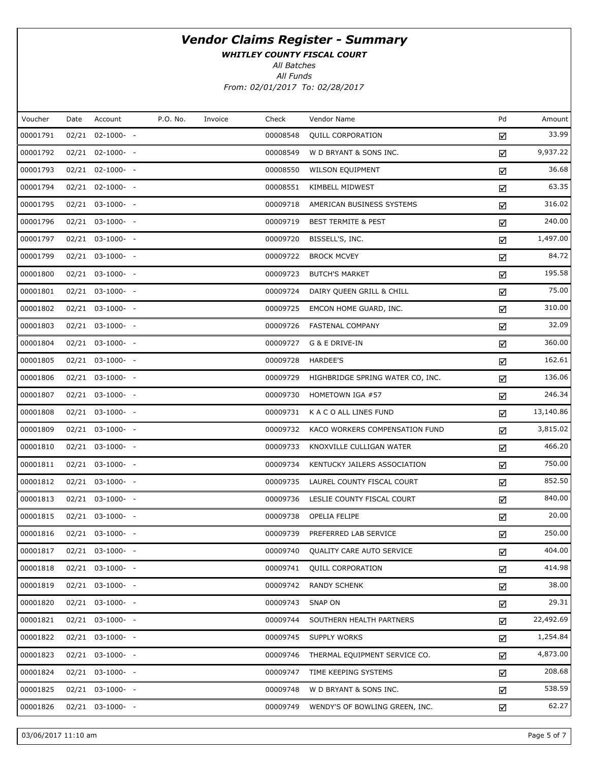WHITLEY COUNTY FISCAL COURT

All Batches

All Funds From: 02/01/2017 To: 02/28/2017

| Voucher  | Date | Account               | P.O. No. | Invoice | Check    | Vendor Name                      | Pd | Amount    |
|----------|------|-----------------------|----------|---------|----------|----------------------------------|----|-----------|
| 00001791 |      | 02/21 02-1000- -      |          |         | 00008548 | <b>QUILL CORPORATION</b>         | ☑  | 33.99     |
| 00001792 |      | 02/21 02-1000- -      |          |         | 00008549 | W D BRYANT & SONS INC.           | ☑  | 9,937.22  |
| 00001793 |      | 02/21 02-1000- -      |          |         | 00008550 | <b>WILSON EQUIPMENT</b>          | ☑  | 36.68     |
| 00001794 |      | 02/21 02-1000- -      |          |         | 00008551 | KIMBELL MIDWEST                  | ☑  | 63.35     |
| 00001795 |      | 02/21 03-1000- -      |          |         | 00009718 | AMERICAN BUSINESS SYSTEMS        | ☑  | 316.02    |
| 00001796 |      | 02/21 03-1000- -      |          |         | 00009719 | <b>BEST TERMITE &amp; PEST</b>   | ☑  | 240.00    |
| 00001797 |      | $02/21$ $03-1000-$ -  |          |         | 00009720 | BISSELL'S, INC.                  | ☑  | 1,497.00  |
| 00001799 |      | 02/21 03-1000- -      |          |         | 00009722 | <b>BROCK MCVEY</b>               | ☑  | 84.72     |
| 00001800 |      | 02/21 03-1000- -      |          |         | 00009723 | <b>BUTCH'S MARKET</b>            | ☑  | 195.58    |
| 00001801 |      | 02/21 03-1000- -      |          |         | 00009724 | DAIRY QUEEN GRILL & CHILL        | ☑  | 75.00     |
| 00001802 |      | 02/21 03-1000- -      |          |         | 00009725 | EMCON HOME GUARD, INC.           | ☑  | 310.00    |
| 00001803 |      | 02/21 03-1000- -      |          |         | 00009726 | <b>FASTENAL COMPANY</b>          | ☑  | 32.09     |
| 00001804 |      | 02/21 03-1000- -      |          |         | 00009727 | G & E DRIVE-IN                   | ☑  | 360.00    |
| 00001805 |      | 02/21 03-1000- -      |          |         | 00009728 | <b>HARDEE'S</b>                  | ☑  | 162.61    |
| 00001806 |      | 02/21 03-1000- -      |          |         | 00009729 | HIGHBRIDGE SPRING WATER CO, INC. | ☑  | 136.06    |
| 00001807 |      | 02/21 03-1000- -      |          |         | 00009730 | HOMETOWN IGA #57                 | ☑  | 246.34    |
| 00001808 |      | 02/21 03-1000- -      |          |         | 00009731 | K A C O ALL LINES FUND           | ☑  | 13,140.86 |
| 00001809 |      | 02/21 03-1000- -      |          |         | 00009732 | KACO WORKERS COMPENSATION FUND   | ☑  | 3,815.02  |
| 00001810 |      | $02/21$ $03-1000-$ -  |          |         | 00009733 | KNOXVILLE CULLIGAN WATER         | ☑  | 466.20    |
| 00001811 |      | 02/21 03-1000- -      |          |         | 00009734 | KENTUCKY JAILERS ASSOCIATION     | ☑  | 750.00    |
| 00001812 |      | $02/21$ $03-1000$ - - |          |         | 00009735 | LAUREL COUNTY FISCAL COURT       | ☑  | 852.50    |
| 00001813 |      | 02/21 03-1000- -      |          |         | 00009736 | LESLIE COUNTY FISCAL COURT       | ☑  | 840.00    |
| 00001815 |      | $02/21$ $03-1000-$ -  |          |         | 00009738 | OPELIA FELIPE                    | ☑  | 20.00     |
| 00001816 |      | 02/21 03-1000- -      |          |         | 00009739 | PREFERRED LAB SERVICE            | ☑  | 250.00    |
| 00001817 |      | 02/21 03-1000- -      |          |         | 00009740 | QUALITY CARE AUTO SERVICE        | ☑  | 404.00    |
| 00001818 |      | $02/21$ $03-1000$ - - |          |         | 00009741 | <b>QUILL CORPORATION</b>         | ☑  | 414.98    |
| 00001819 |      | 02/21 03-1000- -      |          |         | 00009742 | <b>RANDY SCHENK</b>              | ☑  | 38.00     |
| 00001820 |      | 02/21 03-1000- -      |          |         | 00009743 | SNAP ON                          | ☑  | 29.31     |
| 00001821 |      | 02/21 03-1000- -      |          |         | 00009744 | SOUTHERN HEALTH PARTNERS         | ☑  | 22,492.69 |
| 00001822 |      | 02/21 03-1000- -      |          |         | 00009745 | SUPPLY WORKS                     | ☑  | 1,254.84  |
| 00001823 |      | 02/21 03-1000- -      |          |         | 00009746 | THERMAL EQUIPMENT SERVICE CO.    | ☑  | 4,873.00  |
| 00001824 |      | 02/21 03-1000- -      |          |         | 00009747 | TIME KEEPING SYSTEMS             | ☑  | 208.68    |
| 00001825 |      | 02/21 03-1000- -      |          |         | 00009748 | W D BRYANT & SONS INC.           | ☑  | 538.59    |
| 00001826 |      | 02/21 03-1000- -      |          |         | 00009749 | WENDY'S OF BOWLING GREEN, INC.   | ☑  | 62.27     |
|          |      |                       |          |         |          |                                  |    |           |

03/06/2017 11:10 am Page 5 of 7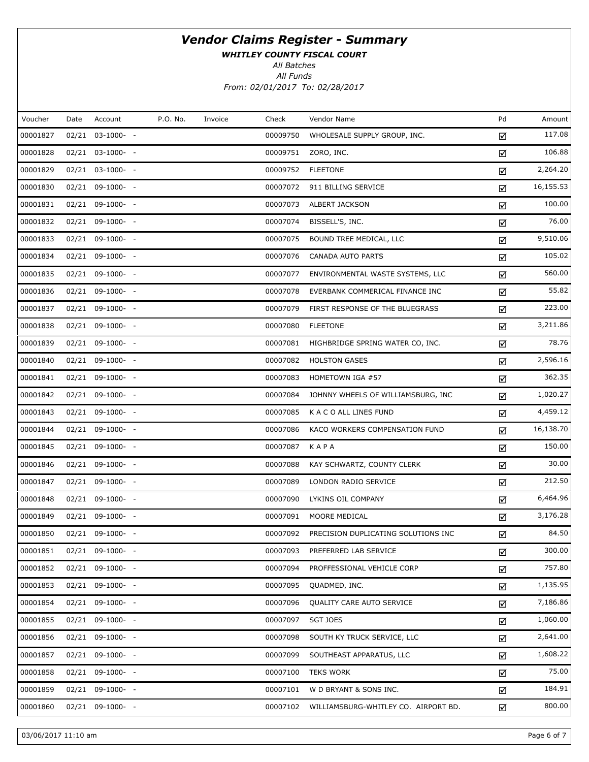WHITLEY COUNTY FISCAL COURT

All Batches

All Funds From: 02/01/2017 To: 02/28/2017

| Voucher  | Date | Account            | P.O. No. | Invoice | Check    | Vendor Name                          | Pd | Amount    |
|----------|------|--------------------|----------|---------|----------|--------------------------------------|----|-----------|
| 00001827 |      | 02/21 03-1000- -   |          |         | 00009750 | WHOLESALE SUPPLY GROUP, INC.         | ☑  | 117.08    |
| 00001828 |      | 02/21 03-1000- -   |          |         | 00009751 | ZORO, INC.                           | ☑  | 106.88    |
| 00001829 |      | 02/21 03-1000- -   |          |         | 00009752 | <b>FLEETONE</b>                      | ☑  | 2,264.20  |
| 00001830 |      | 02/21 09-1000- -   |          |         | 00007072 | 911 BILLING SERVICE                  | ☑  | 16,155.53 |
| 00001831 |      | 02/21 09-1000- -   |          |         | 00007073 | ALBERT JACKSON                       | ☑  | 100.00    |
| 00001832 |      | 02/21 09-1000- -   |          |         | 00007074 | BISSELL'S, INC.                      | ☑  | 76.00     |
| 00001833 |      | 02/21 09-1000- -   |          |         | 00007075 | BOUND TREE MEDICAL, LLC              | ☑  | 9,510.06  |
| 00001834 |      | 02/21 09-1000- -   |          |         | 00007076 | CANADA AUTO PARTS                    | ☑  | 105.02    |
| 00001835 |      | 02/21 09-1000- -   |          |         | 00007077 | ENVIRONMENTAL WASTE SYSTEMS, LLC     | ☑  | 560.00    |
| 00001836 |      | 02/21 09-1000- -   |          |         | 00007078 | EVERBANK COMMERICAL FINANCE INC      | ☑  | 55.82     |
| 00001837 |      | $02/21$ 09-1000- - |          |         | 00007079 | FIRST RESPONSE OF THE BLUEGRASS      | ☑  | 223.00    |
| 00001838 |      | 02/21 09-1000- -   |          |         | 00007080 | <b>FLEETONE</b>                      | ☑  | 3,211.86  |
| 00001839 |      | $02/21$ 09-1000- - |          |         | 00007081 | HIGHBRIDGE SPRING WATER CO, INC.     | ☑  | 78.76     |
| 00001840 |      | 02/21 09-1000- -   |          |         | 00007082 | <b>HOLSTON GASES</b>                 | ☑  | 2,596.16  |
| 00001841 |      | $02/21$ 09-1000- - |          |         | 00007083 | HOMETOWN IGA #57                     | ☑  | 362.35    |
| 00001842 |      | 02/21 09-1000- -   |          |         | 00007084 | JOHNNY WHEELS OF WILLIAMSBURG, INC   | ☑  | 1,020.27  |
| 00001843 |      | 02/21 09-1000- -   |          |         | 00007085 | K A C O ALL LINES FUND               | ☑  | 4,459.12  |
| 00001844 |      | 02/21 09-1000- -   |          |         | 00007086 | KACO WORKERS COMPENSATION FUND       | ☑  | 16,138.70 |
| 00001845 |      | 02/21 09-1000- -   |          |         | 00007087 | KAPA                                 | ☑  | 150.00    |
| 00001846 |      | 02/21 09-1000- -   |          |         | 00007088 | KAY SCHWARTZ, COUNTY CLERK           | ☑  | 30.00     |
| 00001847 |      | 02/21 09-1000- -   |          |         | 00007089 | LONDON RADIO SERVICE                 | ☑  | 212.50    |
| 00001848 |      | 02/21 09-1000- -   |          |         | 00007090 | LYKINS OIL COMPANY                   | ☑  | 6,464.96  |
| 00001849 |      | 02/21 09-1000- -   |          |         | 00007091 | MOORE MEDICAL                        | ☑  | 3,176.28  |
| 00001850 |      | 02/21 09-1000- -   |          |         | 00007092 | PRECISION DUPLICATING SOLUTIONS INC  | ☑  | 84.50     |
| 00001851 |      | 02/21 09-1000- -   |          |         | 00007093 | PREFERRED LAB SERVICE                | ☑  | 300.00    |
| 00001852 |      | $02/21$ 09-1000- - |          |         | 00007094 | PROFFESSIONAL VEHICLE CORP           | ☑  | 757.80    |
| 00001853 |      | 02/21 09-1000- -   |          |         | 00007095 | QUADMED, INC.                        | ☑  | 1,135.95  |
| 00001854 |      | $02/21$ 09-1000- - |          |         | 00007096 | <b>QUALITY CARE AUTO SERVICE</b>     | ☑  | 7,186.86  |
| 00001855 |      | 02/21 09-1000- -   |          |         | 00007097 | <b>SGT JOES</b>                      | ☑  | 1,060.00  |
| 00001856 |      | $02/21$ 09-1000- - |          |         | 00007098 | SOUTH KY TRUCK SERVICE, LLC          | ☑  | 2,641.00  |
| 00001857 |      | 02/21 09-1000- -   |          |         | 00007099 | SOUTHEAST APPARATUS, LLC             | ☑  | 1,608.22  |
| 00001858 |      | $02/21$ 09-1000- - |          |         | 00007100 | <b>TEKS WORK</b>                     | ☑  | 75.00     |
| 00001859 |      | 02/21 09-1000- -   |          |         | 00007101 | W D BRYANT & SONS INC.               | ☑  | 184.91    |
| 00001860 |      | $02/21$ 09-1000- - |          |         | 00007102 | WILLIAMSBURG-WHITLEY CO. AIRPORT BD. | ☑  | 800.00    |

03/06/2017 11:10 am Page 6 of 7